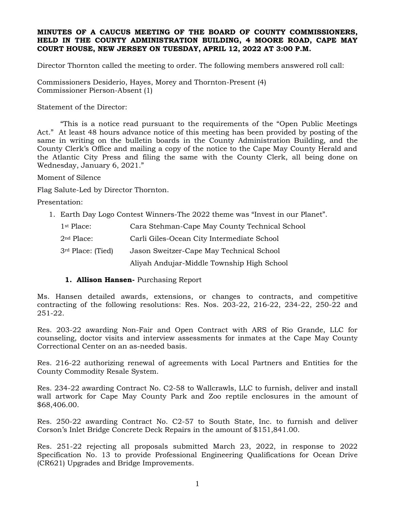## **MINUTES OF A CAUCUS MEETING OF THE BOARD OF COUNTY COMMISSIONERS, HELD IN THE COUNTY ADMINISTRATION BUILDING, 4 MOORE ROAD, CAPE MAY COURT HOUSE, NEW JERSEY ON TUESDAY, APRIL 12, 2022 AT 3:00 P.M.**

Director Thornton called the meeting to order. The following members answered roll call:

Commissioners Desiderio, Hayes, Morey and Thornton-Present (4) Commissioner Pierson-Absent (1)

Statement of the Director:

"This is a notice read pursuant to the requirements of the "Open Public Meetings Act." At least 48 hours advance notice of this meeting has been provided by posting of the same in writing on the bulletin boards in the County Administration Building, and the County Clerk's Office and mailing a copy of the notice to the Cape May County Herald and the Atlantic City Press and filing the same with the County Clerk, all being done on Wednesday, January 6, 2021."

Moment of Silence

Flag Salute-Led by Director Thornton.

Presentation:

1. Earth Day Logo Contest Winners-The 2022 theme was "Invest in our Planet".

| $1st$ Place:                  | Cara Stehman-Cape May County Technical School |
|-------------------------------|-----------------------------------------------|
| $2nd$ Place:                  | Carli Giles-Ocean City Intermediate School    |
| 3 <sup>rd</sup> Place: (Tied) | Jason Sweitzer-Cape May Technical School      |
|                               | Aliyah Andujar-Middle Township High School    |

## **1. Allison Hansen-** Purchasing Report

Ms. Hansen detailed awards, extensions, or changes to contracts, and competitive contracting of the following resolutions: Res. Nos. 203-22, 216-22, 234-22, 250-22 and 251-22.

Res. 203-22 awarding Non-Fair and Open Contract with ARS of Rio Grande, LLC for counseling, doctor visits and interview assessments for inmates at the Cape May County Correctional Center on an as-needed basis.

Res. 216-22 authorizing renewal of agreements with Local Partners and Entities for the County Commodity Resale System.

Res. 234-22 awarding Contract No. C2-58 to Wallcrawls, LLC to furnish, deliver and install wall artwork for Cape May County Park and Zoo reptile enclosures in the amount of \$68,406.00.

Res. 250-22 awarding Contract No. C2-57 to South State, Inc. to furnish and deliver Corson's Inlet Bridge Concrete Deck Repairs in the amount of \$151,841.00.

Res. 251-22 rejecting all proposals submitted March 23, 2022, in response to 2022 Specification No. 13 to provide Professional Engineering Qualifications for Ocean Drive (CR621) Upgrades and Bridge Improvements.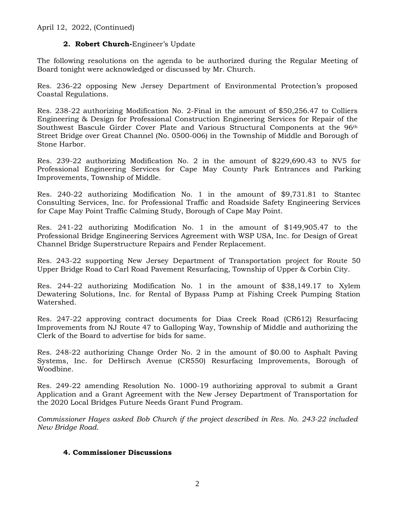## **2. Robert Church-**Engineer's Update

The following resolutions on the agenda to be authorized during the Regular Meeting of Board tonight were acknowledged or discussed by Mr. Church.

Res. 236-22 opposing New Jersey Department of Environmental Protection's proposed Coastal Regulations.

Res. 238-22 authorizing Modification No. 2-Final in the amount of \$50,256.47 to Colliers Engineering & Design for Professional Construction Engineering Services for Repair of the Southwest Bascule Girder Cover Plate and Various Structural Components at the 96th Street Bridge over Great Channel (No. 0500-006) in the Township of Middle and Borough of Stone Harbor.

Res. 239-22 authorizing Modification No. 2 in the amount of \$229,690.43 to NV5 for Professional Engineering Services for Cape May County Park Entrances and Parking Improvements, Township of Middle.

Res. 240-22 authorizing Modification No. 1 in the amount of \$9,731.81 to Stantec Consulting Services, Inc. for Professional Traffic and Roadside Safety Engineering Services for Cape May Point Traffic Calming Study, Borough of Cape May Point.

Res. 241-22 authorizing Modification No. 1 in the amount of \$149,905.47 to the Professional Bridge Engineering Services Agreement with WSP USA, Inc. for Design of Great Channel Bridge Superstructure Repairs and Fender Replacement.

Res. 243-22 supporting New Jersey Department of Transportation project for Route 50 Upper Bridge Road to Carl Road Pavement Resurfacing, Township of Upper & Corbin City.

Res. 244-22 authorizing Modification No. 1 in the amount of \$38,149.17 to Xylem Dewatering Solutions, Inc. for Rental of Bypass Pump at Fishing Creek Pumping Station Watershed.

Res. 247-22 approving contract documents for Dias Creek Road (CR612) Resurfacing Improvements from NJ Route 47 to Galloping Way, Township of Middle and authorizing the Clerk of the Board to advertise for bids for same.

Res. 248-22 authorizing Change Order No. 2 in the amount of \$0.00 to Asphalt Paving Systems, Inc. for DeHirsch Avenue (CR550) Resurfacing Improvements, Borough of Woodbine.

Res. 249-22 amending Resolution No. 1000-19 authorizing approval to submit a Grant Application and a Grant Agreement with the New Jersey Department of Transportation for the 2020 Local Bridges Future Needs Grant Fund Program.

*Commissioner Hayes asked Bob Church if the project described in Res. No. 243-22 included New Bridge Road.*

## **4. Commissioner Discussions**